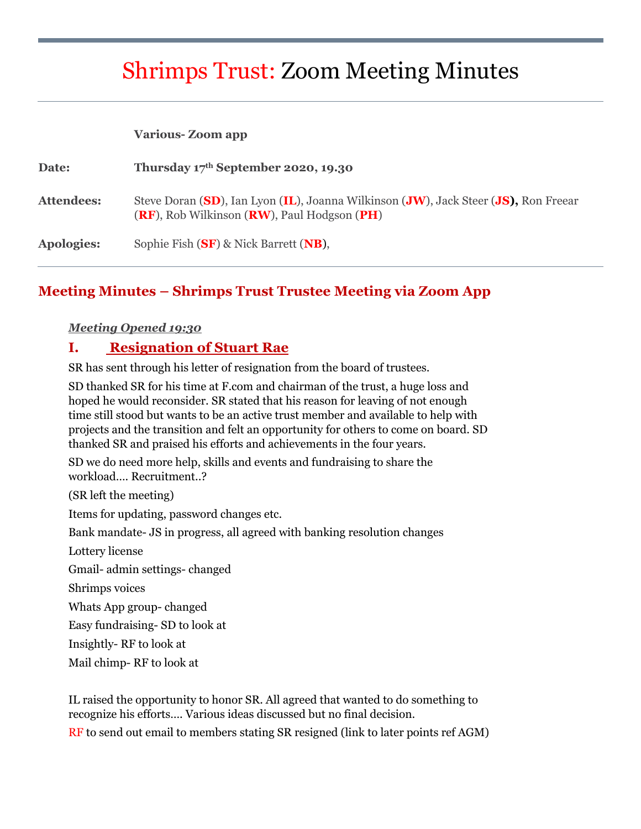# Shrimps Trust: Zoom Meeting Minutes

#### **Various- Zoom app**

| Date:      | Thursday $17th$ September 2020, 19.30                                                                                                      |
|------------|--------------------------------------------------------------------------------------------------------------------------------------------|
| Attendees: | Steve Doran (SD), Ian Lyon (IL), Joanna Wilkinson (JW), Jack Steer (JS), Ron Freear<br>$(RF)$ , Rob Wilkinson $(RW)$ , Paul Hodgson $(PH)$ |
| Apologies: | Sophie Fish (SF) & Nick Barrett (NB),                                                                                                      |

## **Meeting Minutes – Shrimps Trust Trustee Meeting via Zoom App**

#### *Meeting Opened 19:30*

#### **I. Resignation of Stuart Rae**

SR has sent through his letter of resignation from the board of trustees.

SD thanked SR for his time at F.com and chairman of the trust, a huge loss and hoped he would reconsider. SR stated that his reason for leaving of not enough time still stood but wants to be an active trust member and available to help with projects and the transition and felt an opportunity for others to come on board. SD thanked SR and praised his efforts and achievements in the four years.

SD we do need more help, skills and events and fundraising to share the workload…. Recruitment..?

(SR left the meeting)

Items for updating, password changes etc.

Bank mandate- JS in progress, all agreed with banking resolution changes

Lottery license

Gmail- admin settings- changed

Shrimps voices

Whats App group- changed

Easy fundraising- SD to look at

Insightly- RF to look at

Mail chimp- RF to look at

IL raised the opportunity to honor SR. All agreed that wanted to do something to recognize his efforts…. Various ideas discussed but no final decision.

RF to send out email to members stating SR resigned (link to later points ref AGM)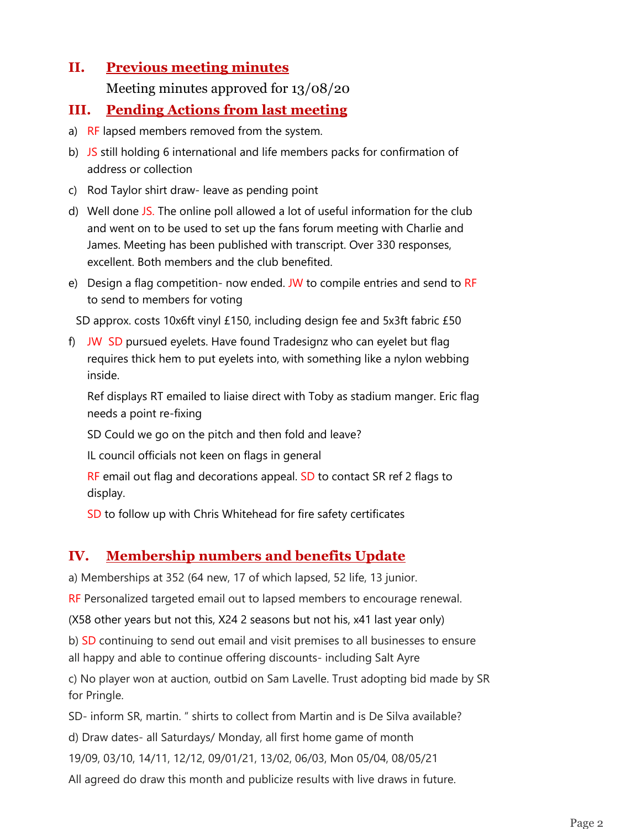# **II. Previous meeting minutes**

Meeting minutes approved for 13/08/20

# **III. Pending Actions from last meeting**

- a) RF lapsed members removed from the system.
- b) JS still holding 6 international and life members packs for confirmation of address or collection
- c) Rod Taylor shirt draw- leave as pending point
- d) Well done JS. The online poll allowed a lot of useful information for the club and went on to be used to set up the fans forum meeting with Charlie and James. Meeting has been published with transcript. Over 330 responses, excellent. Both members and the club benefited.
- e) Design a flag competition- now ended. JW to compile entries and send to RF to send to members for voting

SD approx. costs 10x6ft vinyl £150, including design fee and 5x3ft fabric £50

f) JW SD pursued eyelets. Have found Tradesignz who can eyelet but flag requires thick hem to put eyelets into, with something like a nylon webbing inside.

Ref displays RT emailed to liaise direct with Toby as stadium manger. Eric flag needs a point re-fixing

SD Could we go on the pitch and then fold and leave?

IL council officials not keen on flags in general

RF email out flag and decorations appeal. SD to contact SR ref 2 flags to display.

SD to follow up with Chris Whitehead for fire safety certificates

# **IV. Membership numbers and benefits Update**

a) Memberships at 352 (64 new, 17 of which lapsed, 52 life, 13 junior.

RF Personalized targeted email out to lapsed members to encourage renewal.

(X58 other years but not this, X24 2 seasons but not his, x41 last year only)

b) SD continuing to send out email and visit premises to all businesses to ensure all happy and able to continue offering discounts- including Salt Ayre

c) No player won at auction, outbid on Sam Lavelle. Trust adopting bid made by SR for Pringle.

SD- inform SR, martin. " shirts to collect from Martin and is De Silva available?

d) Draw dates- all Saturdays/ Monday, all first home game of month

19/09, 03/10, 14/11, 12/12, 09/01/21, 13/02, 06/03, Mon 05/04, 08/05/21

All agreed do draw this month and publicize results with live draws in future.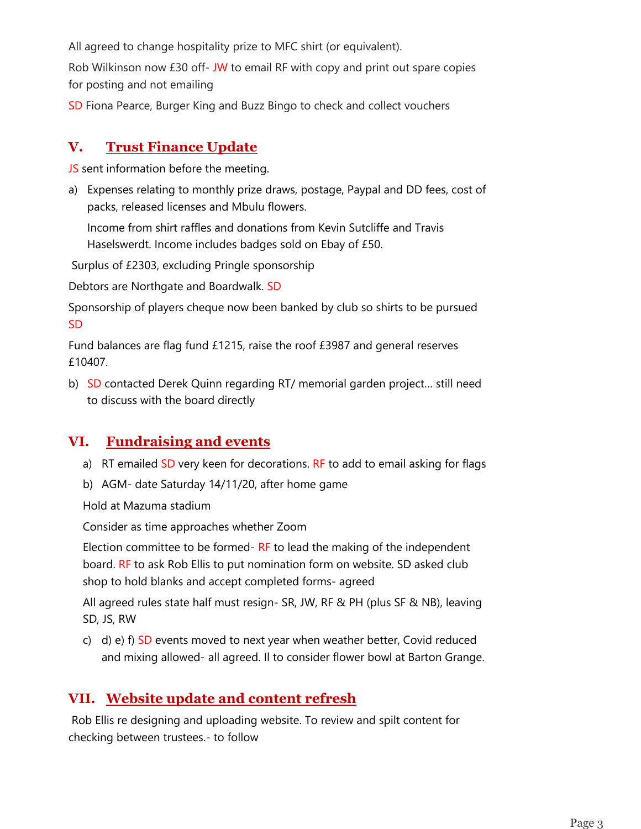All agreed to change hospitality prize to MFC shirt (or equivalent).

Rob Wilkinson now £30 off- JW to email RF with copy and print out spare copies for posting and not emailing

SD Fiona Pearce, Burger King and Buzz Bingo to check and collect vouchers

## **V. Trust Finance Update**

JS sent information before the meeting.

a) Expenses relating to monthly prize draws, postage, Paypal and DD fees, cost of packs, released licenses and Mbulu flowers.

Income from shirt raffles and donations from Kevin Sutcliffe and Travis Haselswerdt. Income includes badges sold on Ebay of £50.

Surplus of £2303, excluding Pringle sponsorship

Debtors are Northgate and Boardwalk. SD

Sponsorship of players cheque now been banked by club so shirts to be pursued SD

Fund balances are flag fund £1215, raise the roof £3987 and general reserves £10407.

b) SD contacted Derek Quinn regarding RT/ memorial garden project… still need to discuss with the board directly

# **VI. Fundraising and events**

- a) RT emailed  $SD$  very keen for decorations. RF to add to email asking for flags
- b) AGM- date Saturday 14/11/20, after home game

Hold at Mazuma stadium

Consider as time approaches whether Zoom

Election committee to be formed- RF to lead the making of the independent board. RF to ask Rob Ellis to put nomination form on website. SD asked club shop to hold blanks and accept completed forms- agreed

All agreed rules state half must resign- SR, JW, RF & PH (plus SF & NB), leaving SD, JS, RW

c) d) e)  $f$ ) SD events moved to next year when weather better, Covid reduced and mixing allowed- all agreed. Il to consider flower bowl at Barton Grange.

# **VII. Website update and content refresh**

Rob Ellis re designing and uploading website. To review and spilt content for checking between trustees.- to follow